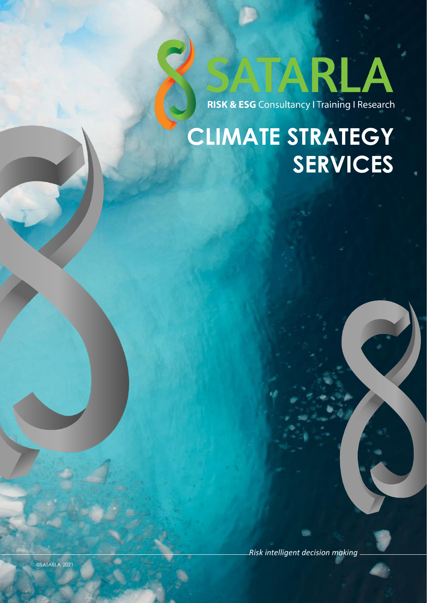

## **CLIMATE STRATEGY SERVICES**

*Risk intelligent decision making*

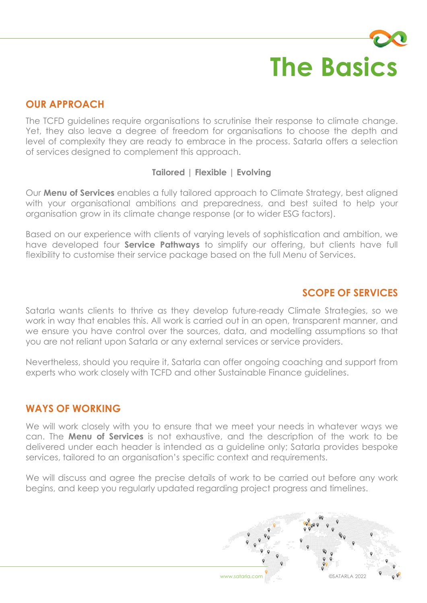# **The Basics**

#### **OUR APPROACH**

The TCFD guidelines require organisations to scrutinise their response to climate change. Yet, they also leave a degree of freedom for organisations to choose the depth and level of complexity they are ready to embrace in the process. Satarla offers a selection of services designed to complement this approach.

#### **Tailored | Flexible | Evolving**

Our **Menu of Services** enables a fully tailored approach to Climate Strategy, best aligned with your organisational ambitions and preparedness, and best suited to help your organisation grow in its climate change response (or to wider ESG factors).

Based on our experience with clients of varying levels of sophistication and ambition, we have developed four **Service Pathways** to simplify our offering, but clients have full flexibility to customise their service package based on the full Menu of Services.

#### **SCOPE OF SERVICES**

Satarla wants clients to thrive as they develop future-ready Climate Strategies, so we work in way that enables this. All work is carried out in an open, transparent manner, and we ensure you have control over the sources, data, and modelling assumptions so that you are not reliant upon Satarla or any external services or service providers.

Nevertheless, should you require it, Satarla can offer ongoing coaching and support from experts who work closely with TCFD and other Sustainable Finance guidelines.

#### **WAYS OF WORKING**

We will work closely with you to ensure that we meet your needs in whatever ways we can. The **Menu of Services** is not exhaustive, and the description of the work to be delivered under each header is intended as a guideline only; Satarla provides bespoke services, tailored to an organisation's specific context and requirements.

We will discuss and agree the precise details of work to be carried out before any work begins, and keep you regularly updated regarding project progress and timelines.

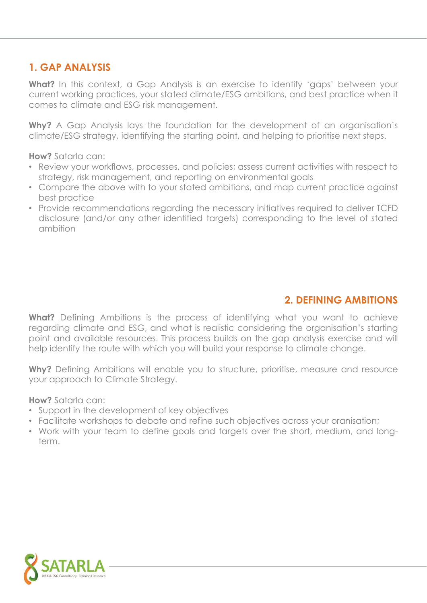#### **1. GAP ANALYSIS**

**What?** In this context, a Gap Analysis is an exercise to identify 'gaps' between your current working practices, your stated climate/ESG ambitions, and best practice when it comes to climate and ESG risk management.

**Why?** A Gap Analysis lays the foundation for the development of an organisation's climate/ESG strategy, identifying the starting point, and helping to prioritise next steps.

**How?** Satarla can:

- Review your workflows, processes, and policies; assess current activities with respect to strategy, risk management, and reporting on environmental goals
- Compare the above with to your stated ambitions, and map current practice against best practice
- Provide recommendations regarding the necessary initiatives required to deliver TCFD disclosure (and/or any other identified targets) corresponding to the level of stated ambition

#### **2. DEFINING AMBITIONS**

**What?** Defining Ambitions is the process of identifying what you want to achieve regarding climate and ESG, and what is realistic considering the organisation's starting point and available resources. This process builds on the gap analysis exercise and will help identify the route with which you will build your response to climate change.

Why? Defining Ambitions will enable you to structure, prioritise, measure and resource your approach to Climate Strategy.

- Support in the development of key objectives
- Facilitate workshops to debate and refine such objectives across your oranisation;
- Work with your team to define goals and targets over the short, medium, and longterm.

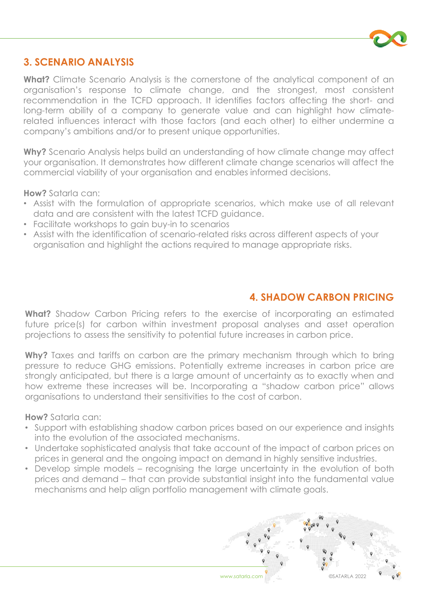

#### **3. SCENARIO ANALYSIS**

**What?** Climate Scenario Analysis is the cornerstone of the analytical component of an organisation's response to climate change, and the strongest, most consistent recommendation in the TCFD approach. It identifies factors affecting the short- and long-term ability of a company to generate value and can highlight how climaterelated influences interact with those factors (and each other) to either undermine a company's ambitions and/or to present unique opportunities.

**Why?** Scenario Analysis helps build an understanding of how climate change may affect your organisation. It demonstrates how different climate change scenarios will affect the commercial viability of your organisation and enables informed decisions.

**How?** Satarla can:

- Assist with the formulation of appropriate scenarios, which make use of all relevant data and are consistent with the latest TCFD guidance.
- Facilitate workshops to gain buy-in to scenarios
- Assist with the identification of scenario-related risks across different aspects of your organisation and highlight the actions required to manage appropriate risks.

#### **4. SHADOW CARBON PRICING**

**What?** Shadow Carbon Pricing refers to the exercise of incorporating an estimated future price(s) for carbon within investment proposal analyses and asset operation projections to assess the sensitivity to potential future increases in carbon price.

**Why?** Taxes and tariffs on carbon are the primary mechanism through which to bring pressure to reduce GHG emissions. Potentially extreme increases in carbon price are strongly anticipated, but there is a large amount of uncertainty as to exactly when and how extreme these increases will be. Incorporating a "shadow carbon price" allows organisations to understand their sensitivities to the cost of carbon.

- Support with establishing shadow carbon prices based on our experience and insights into the evolution of the associated mechanisms.
- Undertake sophisticated analysis that take account of the impact of carbon prices on prices in general and the ongoing impact on demand in highly sensitive industries.
- Develop simple models recognising the large uncertainty in the evolution of both prices and demand – that can provide substantial insight into the fundamental value mechanisms and help align portfolio management with climate goals.

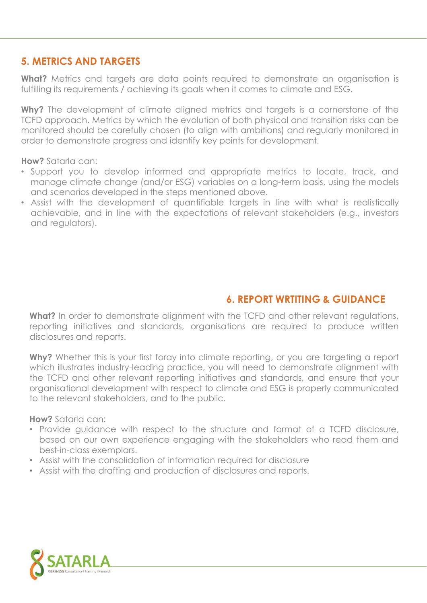#### **5. METRICS AND TARGETS**

**What?** Metrics and targets are data points required to demonstrate an organisation is fulfilling its requirements / achieving its goals when it comes to climate and ESG.

**Why?** The development of climate aligned metrics and targets is a cornerstone of the TCFD approach. Metrics by which the evolution of both physical and transition risks can be monitored should be carefully chosen (to align with ambitions) and regularly monitored in order to demonstrate progress and identify key points for development.

**How?** Satarla can:

- Support you to develop informed and appropriate metrics to locate, track, and manage climate change (and/or ESG) variables on a long-term basis, using the models and scenarios developed in the steps mentioned above.
- Assist with the development of quantifiable targets in line with what is realistically achievable, and in line with the expectations of relevant stakeholders (e.g., investors and regulators).

#### **6. REPORT WRTITING & GUIDANCE**

**What?** In order to demonstrate alignment with the TCFD and other relevant regulations, reporting initiatives and standards, organisations are required to produce written disclosures and reports.

Why? Whether this is your first foray into climate reporting, or you are targeting a report which illustrates industry-leading practice, you will need to demonstrate alignment with the TCFD and other relevant reporting initiatives and standards, and ensure that your organisational development with respect to climate and ESG is properly communicated to the relevant stakeholders, and to the public.

- Provide guidance with respect to the structure and format of a TCFD disclosure, based on our own experience engaging with the stakeholders who read them and best-in-class exemplars.
- Assist with the consolidation of information required for disclosure
- Assist with the drafting and production of disclosures and reports.

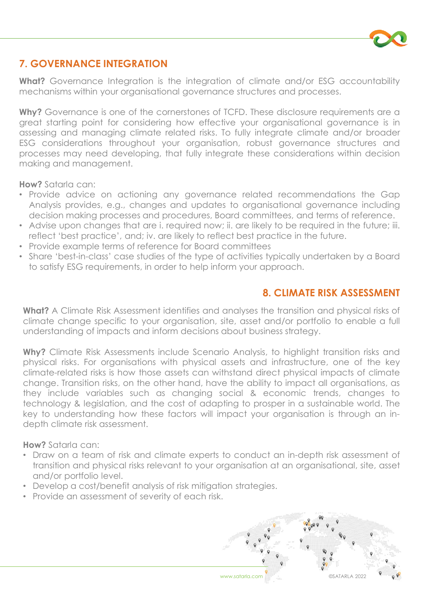

#### **7. GOVERNANCE INTEGRATION**

**What?** Governance Integration is the integration of climate and/or ESG accountability mechanisms within your organisational governance structures and processes.

**Why?** Governance is one of the cornerstones of TCFD. These disclosure requirements are a great starting point for considering how effective your organisational governance is in assessing and managing climate related risks. To fully integrate climate and/or broader ESG considerations throughout your organisation, robust governance structures and processes may need developing, that fully integrate these considerations within decision making and management.

**How?** Satarla can:

- Provide advice on actioning any governance related recommendations the Gap Analysis provides, e.g., changes and updates to organisational governance including decision making processes and procedures, Board committees, and terms of reference.
- Advise upon changes that are i. required now; ii. are likely to be required in the future; iii. reflect 'best practice', and; iv. are likely to reflect best practice in the future.
- Provide example terms of reference for Board committees
- Share 'best-in-class' case studies of the type of activities typically undertaken by a Board to satisfy ESG requirements, in order to help inform your approach.

#### **8. CLIMATE RISK ASSESSMENT**

**What?** A Climate Risk Assessment identifies and analyses the transition and physical risks of climate change specific to your organisation, site, asset and/or portfolio to enable a full understanding of impacts and inform decisions about business strategy.

**Why?** Climate Risk Assessments include Scenario Analysis, to highlight transition risks and physical risks. For organisations with physical assets and infrastructure, one of the key climate-related risks is how those assets can withstand direct physical impacts of climate change. Transition risks, on the other hand, have the ability to impact all organisations, as they include variables such as changing social & economic trends, changes to technology & legislation, and the cost of adapting to prosper in a sustainable world. The key to understanding how these factors will impact your organisation is through an indepth climate risk assessment.

- Draw on a team of risk and climate experts to conduct an in-depth risk assessment of transition and physical risks relevant to your organisation at an organisational, site, asset and/or portfolio level.
- Develop a cost/benefit analysis of risk mitigation strategies.
- Provide an assessment of severity of each risk.

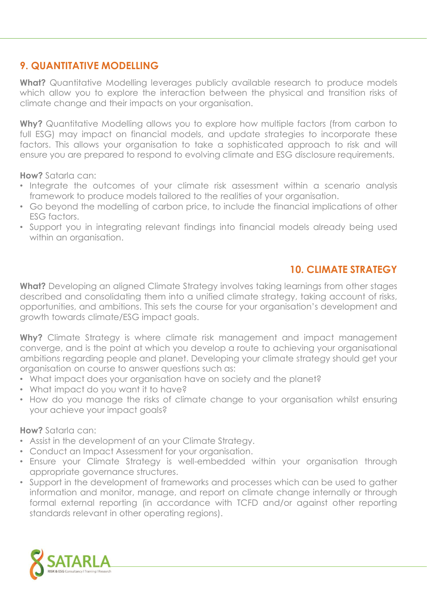#### **9. QUANTITATIVE MODELLING**

**What?** Quantitative Modelling leverages publicly available research to produce models which allow you to explore the interaction between the physical and transition risks of climate change and their impacts on your organisation.

**Why?** Quantitative Modelling allows you to explore how multiple factors (from carbon to full ESG) may impact on financial models, and update strategies to incorporate these factors. This allows your organisation to take a sophisticated approach to risk and will ensure you are prepared to respond to evolving climate and ESG disclosure requirements.

**How?** Satarla can:

- Integrate the outcomes of your climate risk assessment within a scenario analysis framework to produce models tailored to the realities of your organisation.
- Go beyond the modelling of carbon price, to include the financial implications of other ESG factors.
- Support you in integrating relevant findings into financial models already being used within an organisation.

#### **10. CLIMATE STRATEGY**

**What?** Developing an aligned Climate Strategy involves taking learnings from other stages described and consolidating them into a unified climate strategy, taking account of risks, opportunities, and ambitions. This sets the course for your organisation's development and growth towards climate/ESG impact goals.

**Why?** Climate Strategy is where climate risk management and impact management converge, and is the point at which you develop a route to achieving your organisational ambitions regarding people and planet. Developing your climate strategy should get your organisation on course to answer questions such as:

- What impact does your organisation have on society and the planet?
- What impact do you want it to have?
- How do you manage the risks of climate change to your organisation whilst ensuring your achieve your impact goals?

- Assist in the development of an your Climate Strategy.
- Conduct an Impact Assessment for your organisation.
- Ensure your Climate Strategy is well-embedded within your organisation through appropriate governance structures.
- Support in the development of frameworks and processes which can be used to gather information and monitor, manage, and report on climate change internally or through formal external reporting (in accordance with TCFD and/or against other reporting standards relevant in other operating regions).

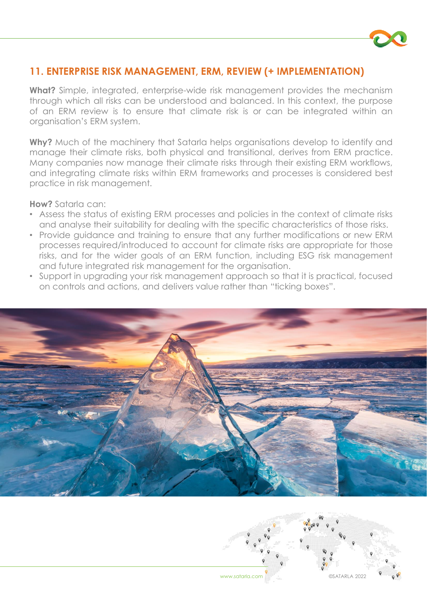

#### **11. ENTERPRISE RISK MANAGEMENT, ERM, REVIEW (+ IMPLEMENTATION)**

**What?** Simple, integrated, enterprise-wide risk management provides the mechanism through which all risks can be understood and balanced. In this context, the purpose of an ERM review is to ensure that climate risk is or can be integrated within an organisation's ERM system.

**Why?** Much of the machinery that Satarla helps organisations develop to identify and manage their climate risks, both physical and transitional, derives from ERM practice. Many companies now manage their climate risks through their existing ERM workflows, and integrating climate risks within ERM frameworks and processes is considered best practice in risk management.

- Assess the status of existing ERM processes and policies in the context of climate risks and analyse their suitability for dealing with the specific characteristics of those risks.
- Provide guidance and training to ensure that any further modifications or new ERM processes required/introduced to account for climate risks are appropriate for those risks, and for the wider goals of an ERM function, including ESG risk management and future integrated risk management for the organisation.
- Support in upgrading your risk management approach so that it is practical, focused on controls and actions, and delivers value rather than "ticking boxes".



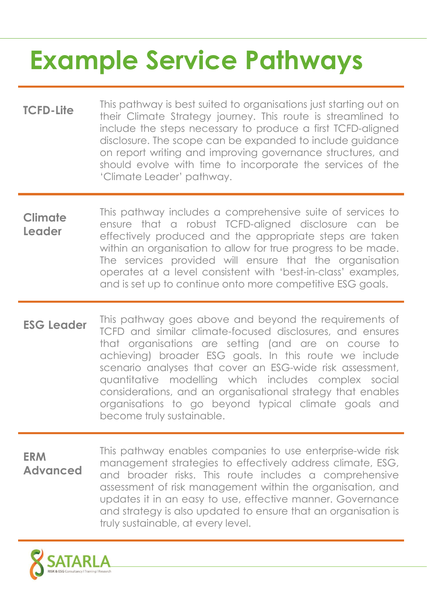# **Example Service Pathways**

- **TCFD-Lite** This pathway is best suited to organisations just starting out on their Climate Strategy journey. This route is streamlined to include the steps necessary to produce a first TCFD-aligned disclosure. The scope can be expanded to include guidance on report writing and improving governance structures, and should evolve with time to incorporate the services of the 'Climate Leader' pathway.
- **Climate Leader** This pathway includes a comprehensive suite of services to ensure that a robust TCFD-aligned disclosure can be effectively produced and the appropriate steps are taken within an organisation to allow for true progress to be made. The services provided will ensure that the organisation operates at a level consistent with 'best-in-class' examples, and is set up to continue onto more competitive ESG goals.
- **ESG Leader** This pathway goes above and beyond the requirements of TCFD and similar climate-focused disclosures, and ensures that organisations are setting (and are on course to achieving) broader ESG goals. In this route we include scenario analyses that cover an ESG-wide risk assessment, quantitative modelling which includes complex social considerations, and an organisational strategy that enables organisations to go beyond typical climate goals and become truly sustainable.
- **ERM Advanced** This pathway enables companies to use enterprise-wide risk management strategies to effectively address climate, ESG, and broader risks. This route includes a comprehensive assessment of risk management within the organisation, and updates it in an easy to use, effective manner. Governance and strategy is also updated to ensure that an organisation is truly sustainable, at every level.

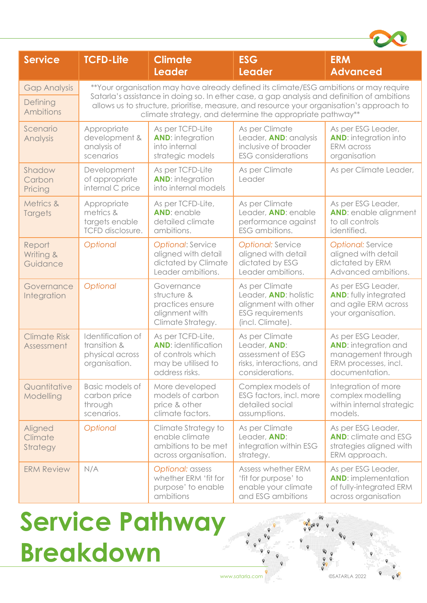| <b>Service</b>                    | <b>TCFD-Lite</b>                                                                                                                                                                                                                                                                                                                               | <b>Climate</b><br><b>Leader</b>                                                                              | <b>ESG</b><br><b>Leader</b>                                                                                           | <b>ERM</b><br><b>Advanced</b>                                                                                     |
|-----------------------------------|------------------------------------------------------------------------------------------------------------------------------------------------------------------------------------------------------------------------------------------------------------------------------------------------------------------------------------------------|--------------------------------------------------------------------------------------------------------------|-----------------------------------------------------------------------------------------------------------------------|-------------------------------------------------------------------------------------------------------------------|
| <b>Gap Analysis</b>               | **Your organisation may have already defined its climate/ESG ambitions or may require<br>Satarla's assistance in doing so. In ether case, a gap analysis and definition of ambitions<br>allows us to structure, prioritise, measure, and resource your organisation's approach to<br>climate strategy, and determine the appropriate pathway** |                                                                                                              |                                                                                                                       |                                                                                                                   |
| Defining<br><b>Ambitions</b>      |                                                                                                                                                                                                                                                                                                                                                |                                                                                                              |                                                                                                                       |                                                                                                                   |
| Scenario<br>Analysis              | Appropriate<br>development &<br>analysis of<br>scenarios                                                                                                                                                                                                                                                                                       | As per TCFD-Lite<br><b>AND:</b> integration<br>into internal<br>strategic models                             | As per Climate<br>Leader, AND: analysis<br>inclusive of broader<br><b>ESG</b> considerations                          | As per ESG Leader,<br><b>AND:</b> integration into<br><b>ERM</b> across<br>organisation                           |
| Shadow<br>Carbon<br>Pricing       | Development<br>of appropriate<br>internal C price                                                                                                                                                                                                                                                                                              | As per TCFD-Lite<br><b>AND:</b> integration<br>into internal models                                          | As per Climate<br>Leader                                                                                              | As per Climate Leader,                                                                                            |
| Metrics &<br>Targets              | Appropriate<br>metrics &<br>targets enable<br><b>TCFD</b> disclosure.                                                                                                                                                                                                                                                                          | As per TCFD-Lite,<br><b>AND: enable</b><br>detailed climate<br>ambitions.                                    | As per Climate<br>Leader, AND: enable<br>performance against<br>ESG ambitions.                                        | As per ESG Leader,<br>AND: enable alignment<br>to all controls<br>identified.                                     |
| Report<br>Writing &<br>Guidance   | Optional                                                                                                                                                                                                                                                                                                                                       | <b>Optional: Service</b><br>aligned with detail<br>dictated by Climate<br>Leader ambitions.                  | <b>Optional: Service</b><br>aligned with detail<br>dictated by ESG<br>Leader ambitions.                               | <b>Optional: Service</b><br>aligned with detail<br>dictated by ERM<br>Advanced ambitions.                         |
| Governance<br>Integration         | Optional                                                                                                                                                                                                                                                                                                                                       | Governance<br>structure &<br>practices ensure<br>alignment with<br>Climate Strategy.                         | As per Climate<br>Leader, <b>AND:</b> holistic<br>alignment with other<br><b>ESG</b> requirements<br>(incl. Climate). | As per ESG Leader,<br><b>AND:</b> fully integrated<br>and agile ERM across<br>your organisation.                  |
| <b>Climate Risk</b><br>Assessment | Identification of<br>transition &<br>physical across<br>organisation.                                                                                                                                                                                                                                                                          | As per TCFD-Lite,<br><b>AND:</b> identification<br>of controls which<br>may be utilised to<br>address risks. | As per Climate<br>Leader, AND:<br>assessment of ESG<br>risks, interactions, and<br>considerations.                    | As per ESG Leader,<br><b>AND:</b> integration and<br>management through<br>ERM processes, incl.<br>documentation. |
| Quantitative<br>Modelling         | Basic models of<br>carbon price<br>through<br>scenarios.                                                                                                                                                                                                                                                                                       | More developed<br>models of carbon<br>price & other<br>climate factors.                                      | Complex models of<br>ESG factors, incl. more<br>detailed social<br>assumptions.                                       | Integration of more<br>complex modelling<br>within internal strategic<br>models.                                  |
| Aligned<br>Climate<br>Strategy    | Optional                                                                                                                                                                                                                                                                                                                                       | Climate Strategy to<br>enable climate<br>ambitions to be met<br>across organisation.                         | As per Climate<br>Leader, AND:<br>integration within ESG<br>strategy.                                                 | As per ESG Leader,<br><b>AND:</b> climate and ESG<br>strategies aligned with<br>ERM approach.                     |
| <b>ERM Review</b>                 | N/A                                                                                                                                                                                                                                                                                                                                            | Optional: assess<br>whether ERM 'fit for<br>purpose' to enable<br>ambitions                                  | Assess whether ERM<br>'fit for purpose' to<br>enable your climate<br>and ESG ambitions                                | As per ESG Leader,<br><b>AND:</b> implementation<br>of fully-integrated ERM<br>across organisation                |

### **Service Pathway Breakdown**